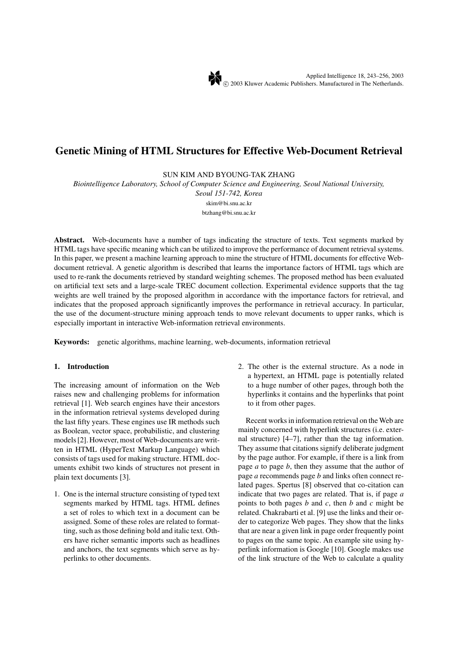# **Genetic Mining of HTML Structures for Effective Web-Document Retrieval**

SUN KIM AND BYOUNG-TAK ZHANG

*Biointelligence Laboratory, School of Computer Science and Engineering, Seoul National University, Seoul 151-742, Korea*

> skim@bi.snu.ac.kr btzhang@bi.snu.ac.kr

**Abstract.** Web-documents have a number of tags indicating the structure of texts. Text segments marked by HTML tags have specific meaning which can be utilized to improve the performance of document retrieval systems. In this paper, we present a machine learning approach to mine the structure of HTML documents for effective Webdocument retrieval. A genetic algorithm is described that learns the importance factors of HTML tags which are used to re-rank the documents retrieved by standard weighting schemes. The proposed method has been evaluated on artificial text sets and a large-scale TREC document collection. Experimental evidence supports that the tag weights are well trained by the proposed algorithm in accordance with the importance factors for retrieval, and indicates that the proposed approach significantly improves the performance in retrieval accuracy. In particular, the use of the document-structure mining approach tends to move relevant documents to upper ranks, which is especially important in interactive Web-information retrieval environments.

**Keywords:** genetic algorithms, machine learning, web-documents, information retrieval

### **1. Introduction**

The increasing amount of information on the Web raises new and challenging problems for information retrieval [1]. Web search engines have their ancestors in the information retrieval systems developed during the last fifty years. These engines use IR methods such as Boolean, vector space, probabilistic, and clustering models [2]. However, most of Web-documents are written in HTML (HyperText Markup Language) which consists of tags used for making structure. HTML documents exhibit two kinds of structures not present in plain text documents [3].

1. One is the internal structure consisting of typed text segments marked by HTML tags. HTML defines a set of roles to which text in a document can be assigned. Some of these roles are related to formatting, such as those defining bold and italic text. Others have richer semantic imports such as headlines and anchors, the text segments which serve as hyperlinks to other documents.

2. The other is the external structure. As a node in a hypertext, an HTML page is potentially related to a huge number of other pages, through both the hyperlinks it contains and the hyperlinks that point to it from other pages.

Recent works in information retrieval on the Web are mainly concerned with hyperlink structures (i.e. external structure) [4–7], rather than the tag information. They assume that citations signify deliberate judgment by the page author. For example, if there is a link from page *a* to page *b*, then they assume that the author of page *a* recommends page *b* and links often connect related pages. Spertus [8] observed that co-citation can indicate that two pages are related. That is, if page *a* points to both pages *b* and *c*, then *b* and *c* might be related. Chakrabarti et al. [9] use the links and their order to categorize Web pages. They show that the links that are near a given link in page order frequently point to pages on the same topic. An example site using hyperlink information is Google [10]. Google makes use of the link structure of the Web to calculate a quality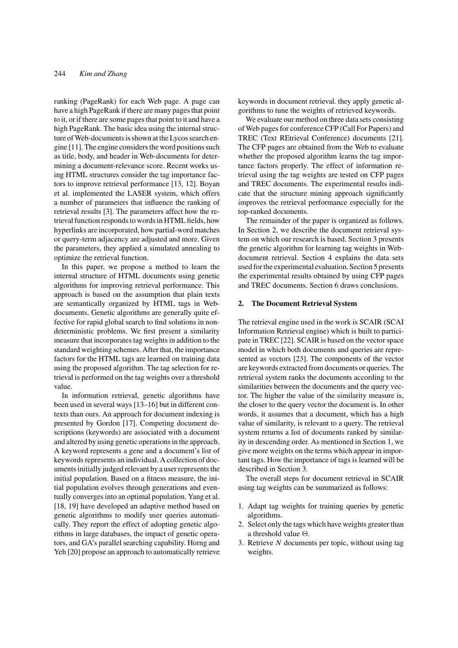ranking (PageRank) for each Web page. A page can have a high PageRank if there are many pages that point to it, or if there are some pages that point to it and have a high PageRank. The basic idea using the internal structure of Web-documents is shown at the Lycos search engine [11]. The engine considers the word positions such as title, body, and header in Web-documents for determining a document-relevance score. Recent works using HTML structures consider the tag importance factors to improve retrieval performance [13, 12]. Boyan et al. implemented the LASER system, which offers a number of parameters that influence the ranking of retrieval results [3]. The parameters affect how the retrieval function responds to words in HTML fields, how hyperlinks are incorporated, how partial-word matches or query-term adjacency are adjusted and more. Given the parameters, they applied a simulated annealing to optimize the retrieval function.

In this paper, we propose a method to learn the internal structure of HTML documents using genetic algorithms for improving retrieval performance. This approach is based on the assumption that plain texts are semantically organized by HTML tags in Webdocuments. Genetic algorithms are generally quite effective for rapid global search to find solutions in nondeterministic problems. We first present a similarity measure that incorporates tag weights in addition to the standard weighting schemes. After that, the importance factors for the HTML tags are learned on training data using the proposed algorithm. The tag selection for retrieval is performed on the tag weights over a threshold value.

In information retrieval, genetic algorithms have been used in several ways [13–16] but in different contexts than ours. An approach for document indexing is presented by Gordon [17]. Competing document descriptions (keywords) are associated with a document and altered by using genetic operations in the approach. A keyword represents a gene and a document's list of keywords represents an individual. A collection of documents initially judged relevant by a user represents the initial population. Based on a fitness measure, the initial population evolves through generations and eventually converges into an optimal population. Yang et al. [18, 19] have developed an adaptive method based on genetic algorithms to modify user queries automatically. They report the effect of adopting genetic algorithms in large databases, the impact of genetic operators, and GA's parallel searching capability. Horng and Yeh [20] propose an approach to automatically retrieve

keywords in document retrieval. they apply genetic algorithms to tune the weights of retrieved keywords.

We evaluate our method on three data sets consisting of Web pages for conference CFP (Call For Papers) and TREC (Text REtrieval Conference) documents [21]. The CFP pages are obtained from the Web to evaluate whether the proposed algorithm learns the tag importance factors properly. The effect of information retrieval using the tag weights are tested on CFP pages and TREC documents. The experimental results indicate that the structure mining approach significantly improves the retrieval performance especially for the top-ranked documents.

The remainder of the paper is organized as follows. In Section 2, we describe the document retrieval system on which our research is based. Section 3 presents the genetic algorithm for learning tag weights in Webdocument retrieval. Section 4 explains the data sets used for the experimental evaluation. Section 5 presents the experimental results obtained by using CFP pages and TREC documents. Section 6 draws conclusions.

#### **2. The Document Retrieval System**

The retrieval engine used in the work is SCAIR (SCAI Information Retrieval engine) which is built to participate in TREC [22]. SCAIR is based on the vector space model in which both documents and queries are represented as vectors [23]. The components of the vector are keywords extracted from documents or queries. The retrieval system ranks the documents according to the similarities between the documents and the query vector. The higher the value of the similarity measure is, the closer to the query vector the document is. In other words, it assumes that a document, which has a high value of similarity, is relevant to a query. The retrieval system returns a list of documents ranked by similarity in descending order. As mentioned in Section 1, we give more weights on the terms which appear in important tags. How the importance of tags is learned will be described in Section 3.

The overall steps for document retrieval in SCAIR using tag weights can be summarized as follows:

- 1. Adapt tag weights for training queries by genetic algorithms.
- 2. Select only the tags which have weights greater than a threshold value  $\Theta$ .
- 3. Retrieve *N* documents per topic, without using tag weights.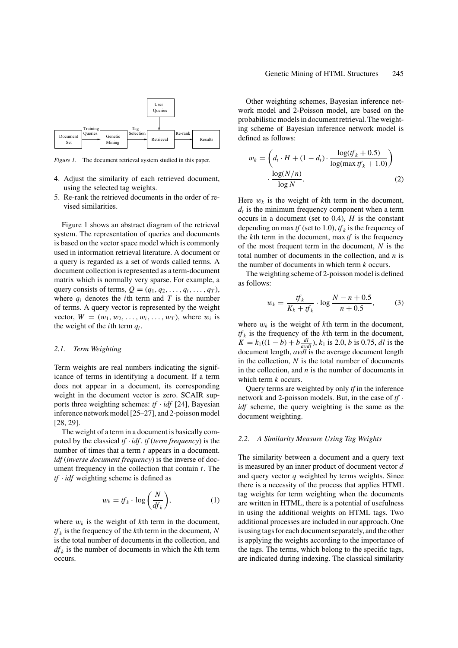

*Figure 1*. The document retrieval system studied in this paper.

- 4. Adjust the similarity of each retrieved document, using the selected tag weights.
- 5. Re-rank the retrieved documents in the order of revised similarities.

Figure 1 shows an abstract diagram of the retrieval system. The representation of queries and documents is based on the vector space model which is commonly used in information retrieval literature. A document or a query is regarded as a set of words called terms. A document collection is represented as a term-document matrix which is normally very sparse. For example, a query consists of terms,  $Q = (q_1, q_2, \ldots, q_i, \ldots, q_T)$ , where  $q_i$  denotes the *i*th term and *T* is the number of terms. A query vector is represented by the weight vector,  $W = (w_1, w_2, ..., w_i, ..., w_T)$ , where  $w_i$  is the weight of the *i*th term *qi* .

### *2.1. Term Weighting*

Term weights are real numbers indicating the significance of terms in identifying a document. If a term does not appear in a document, its corresponding weight in the document vector is zero. SCAIR supports three weighting schemes:  $tf \cdot idf$  [24], Bayesian inference network model [25–27], and 2-poisson model [28, 29].

The weight of a term in a document is basically computed by the classical *tf* · *idf* . *tf* (*term frequency*) is the number of times that a term *t* appears in a document. *idf* (*inverse document frequency*) is the inverse of document frequency in the collection that contain *t*. The *tf* · *idf* weighting scheme is defined as

$$
w_k = tf_k \cdot \log\left(\frac{N}{df_k}\right),\tag{1}
$$

where  $w_k$  is the weight of  $k$ th term in the document,  $tf_k$  is the frequency of the *k*th term in the document, *N* is the total number of documents in the collection, and  $df_k$  is the number of documents in which the *k*th term occurs.

Other weighting schemes, Bayesian inference network model and 2-Poisson model, are based on the probabilistic models in document retrieval. The weighting scheme of Bayesian inference network model is defined as follows:

$$
w_k = \left(d_t \cdot H + (1 - d_t) \cdot \frac{\log(f_k + 0.5)}{\log(\max f_k + 1.0)}\right)
$$

$$
\cdot \frac{\log(N/n)}{\log N}.
$$
 (2)

Here  $w_k$  is the weight of  $k$ th term in the document,  $d_t$  is the minimum frequency component when a term occurs in a document (set to 0.4), *H* is the constant depending on max *tf* (set to 1.0),  $tf_k$  is the frequency of the *k*th term in the document, max *tf* is the frequency of the most frequent term in the document, *N* is the total number of documents in the collection, and *n* is the number of documents in which term *k* occurs.

The weighting scheme of 2-poisson model is defined as follows:

$$
w_k = \frac{tf_k}{K_k + tf_k} \cdot \log \frac{N - n + 0.5}{n + 0.5},
$$
 (3)

where  $w_k$  is the weight of  $k$ th term in the document,  $tf_k$  is the frequency of the *k*th term in the document,  $K = k_1((1 - b) + b \frac{dl}{avdl})$ ,  $k_1$  is 2.0, *b* is 0.75, *dl* is the document length, *avdl* is the average document length in the collection, *N* is the total number of documents in the collection, and  $n$  is the number of documents in which term *k* occurs.

Query terms are weighted by only *tf* in the inference network and 2-poisson models. But, in the case of *tf* · *idf* scheme, the query weighting is the same as the document weighting.

#### *2.2. A Similarity Measure Using Tag Weights*

The similarity between a document and a query text is measured by an inner product of document vector *d* and query vector *q* weighted by terms weights. Since there is a necessity of the process that applies HTML tag weights for term weighting when the documents are written in HTML, there is a potential of usefulness in using the additional weights on HTML tags. Two additional processes are included in our approach. One is using tags for each document separately, and the other is applying the weights according to the importance of the tags. The terms, which belong to the specific tags, are indicated during indexing. The classical similarity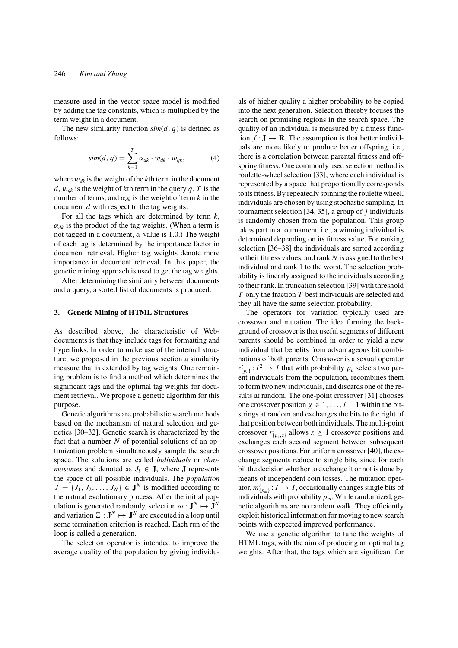measure used in the vector space model is modified by adding the tag constants, which is multiplied by the term weight in a document.

The new similarity function  $\sin(d, q)$  is defined as follows:

$$
sim(d, q) = \sum_{k=1}^{T} \alpha_{dk} \cdot w_{dk} \cdot w_{qk}, \qquad (4)
$$

where w*dk* is the weight of the *k*th term in the document *d*,  $w_{qk}$  is the weight of *k*th term in the query *q*, *T* is the number of terms, and  $\alpha_{dk}$  is the weight of term *k* in the document *d* with respect to the tag weights.

For all the tags which are determined by term *k*,  $\alpha_{dk}$  is the product of the tag weights. (When a term is not tagged in a document,  $\alpha$  value is 1.0.) The weight of each tag is determined by the importance factor in document retrieval. Higher tag weights denote more importance in document retrieval. In this paper, the genetic mining approach is used to get the tag weights.

After determining the similarity between documents and a query, a sorted list of documents is produced.

### **3. Genetic Mining of HTML Structures**

As described above, the characteristic of Webdocuments is that they include tags for formatting and hyperlinks. In order to make use of the internal structure, we proposed in the previous section a similarity measure that is extended by tag weights. One remaining problem is to find a method which determines the significant tags and the optimal tag weights for document retrieval. We propose a genetic algorithm for this purpose.

Genetic algorithms are probabilistic search methods based on the mechanism of natural selection and genetics [30–32]. Genetic search is characterized by the fact that a number *N* of potential solutions of an optimization problem simultaneously sample the search space. The solutions are called *individuals* or *chromosomes* and denoted as  $J_i \in J$ , where J represents the space of all possible individuals. The *population*  $\vec{J} = \{J_1, J_2, \ldots, J_N\} \in \mathbf{J}^N$  is modified according to the natural evolutionary process. After the initial population is generated randomly, selection  $\omega : \mathbf{J}^N \mapsto \mathbf{J}^N$ and variation  $\Xi: \mathbf{J}^N \mapsto \mathbf{J}^N$  are executed in a loop until some termination criterion is reached. Each run of the loop is called a generation.

The selection operator is intended to improve the average quality of the population by giving individuals of higher quality a higher probability to be copied into the next generation. Selection thereby focuses the search on promising regions in the search space. The quality of an individual is measured by a fitness function  $f: \mathbf{J} \mapsto \mathbf{R}$ . The assumption is that better individuals are more likely to produce better offspring, i.e., there is a correlation between parental fitness and offspring fitness. One commonly used selection method is roulette-wheel selection [33], where each individual is represented by a space that proportionally corresponds to its fitness. By repeatedly spinning the roulette wheel, individuals are chosen by using stochastic sampling. In tournament selection [34, 35], a group of *j* individuals is randomly chosen from the population. This group takes part in a tournament, i.e., a winning individual is determined depending on its fitness value. For ranking selection [36–38] the individuals are sorted according to their fitness values, and rank *N* is assigned to the best individual and rank 1 to the worst. The selection probability is linearly assigned to the individuals according to their rank. In truncation selection [39] with threshold *T* only the fraction *T* best individuals are selected and they all have the same selection probability.

The operators for variation typically used are crossover and mutation. The idea forming the background of crossover is that useful segments of different parents should be combined in order to yield a new individual that benefits from advantageous bit combinations of both parents. Crossover is a sexual operator  $r'_{\{p_c\}}$ :  $I^2 \to I$  that with probability  $p_c$  selects two parent individuals from the population, recombines them to form two new individuals, and discards one of the results at random. The one-point crossover [31] chooses one crossover position  $\chi \in 1, \ldots, l-1$  within the bitstrings at random and exchanges the bits to the right of that position between both individuals. The multi-point crossover  $r'_{p_c, z}$  allows  $z \ge 1$  crossover positions and exchanges each second segment between subsequent crossover positions. For uniform crossover [40], the exchange segments reduce to single bits, since for each bit the decision whether to exchange it or not is done by means of independent coin tosses. The mutation operator,  $m'_{\{p_m\}} : I \to I$ , occasionally changes single bits of individuals with probability  $p_m$ . While randomized, genetic algorithms are no random walk. They efficiently exploit historical information for moving to new search points with expected improved performance.

We use a genetic algorithm to tune the weights of HTML tags, with the aim of producing an optimal tag weights. After that, the tags which are significant for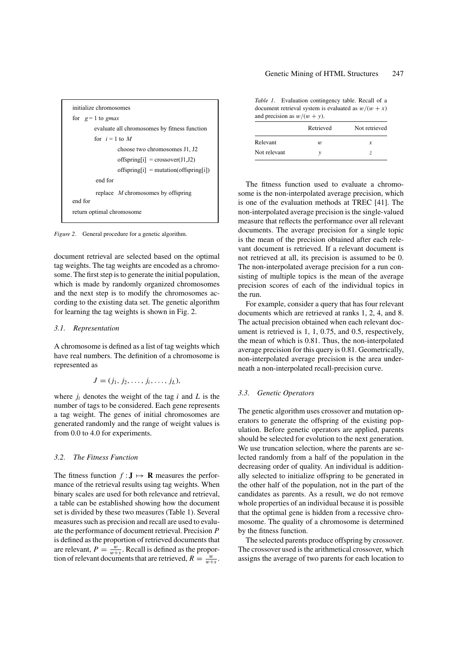| initialize chromosomes                       |  |  |  |  |  |  |
|----------------------------------------------|--|--|--|--|--|--|
| for $g = 1$ to gmax                          |  |  |  |  |  |  |
| evaluate all chromosomes by fitness function |  |  |  |  |  |  |
| for $i = 1$ to M                             |  |  |  |  |  |  |
| choose two chromosomes J1, J2                |  |  |  |  |  |  |
| offspring[i] = crossover(J1,J2)              |  |  |  |  |  |  |
| $offspring[i] = mutation(offspring[i])$      |  |  |  |  |  |  |
| end for                                      |  |  |  |  |  |  |
| replace M chromosomes by offspring           |  |  |  |  |  |  |
| end for                                      |  |  |  |  |  |  |
| return optimal chromosome                    |  |  |  |  |  |  |
|                                              |  |  |  |  |  |  |

*Figure 2*. General procedure for a genetic algorithm.

document retrieval are selected based on the optimal tag weights. The tag weights are encoded as a chromosome. The first step is to generate the initial population, which is made by randomly organized chromosomes and the next step is to modify the chromosomes according to the existing data set. The genetic algorithm for learning the tag weights is shown in Fig. 2.

#### *3.1. Representation*

A chromosome is defined as a list of tag weights which have real numbers. The definition of a chromosome is represented as

$$
J=(j_1,j_2,\ldots,j_i,\ldots,j_L),
$$

where  $j_i$  denotes the weight of the tag  $i$  and  $L$  is the number of tags to be considered. Each gene represents a tag weight. The genes of initial chromosomes are generated randomly and the range of weight values is from 0.0 to 4.0 for experiments.

### *3.2. The Fitness Function*

The fitness function  $f: \mathbf{J} \mapsto \mathbf{R}$  measures the performance of the retrieval results using tag weights. When binary scales are used for both relevance and retrieval, a table can be established showing how the document set is divided by these two measures (Table 1). Several measures such as precision and recall are used to evaluate the performance of document retrieval. Precision *P* is defined as the proportion of retrieved documents that are relevant,  $P = \frac{w}{w+y}$ . Recall is defined as the proportion of relevant documents that are retrieved,  $R = \frac{w}{w+x}$ .

*Table 1*. Evaluation contingency table. Recall of a document retrieval system is evaluated as  $w/(w + x)$ and precision as  $w/(w + y)$ .

|              | Retrieved | Not retrieved |  |  |
|--------------|-----------|---------------|--|--|
| Relevant     | w         | x             |  |  |
| Not relevant |           |               |  |  |

The fitness function used to evaluate a chromosome is the non-interpolated average precision, which is one of the evaluation methods at TREC [41]. The non-interpolated average precision is the single-valued measure that reflects the performance over all relevant documents. The average precision for a single topic is the mean of the precision obtained after each relevant document is retrieved. If a relevant document is not retrieved at all, its precision is assumed to be 0. The non-interpolated average precision for a run consisting of multiple topics is the mean of the average precision scores of each of the individual topics in the run.

For example, consider a query that has four relevant documents which are retrieved at ranks 1, 2, 4, and 8. The actual precision obtained when each relevant document is retrieved is 1, 1, 0.75, and 0.5, respectively, the mean of which is 0.81. Thus, the non-interpolated average precision for this query is 0.81. Geometrically, non-interpolated average precision is the area underneath a non-interpolated recall-precision curve.

### *3.3. Genetic Operators*

The genetic algorithm uses crossover and mutation operators to generate the offspring of the existing population. Before genetic operators are applied, parents should be selected for evolution to the next generation. We use truncation selection, where the parents are selected randomly from a half of the population in the decreasing order of quality. An individual is additionally selected to initialize offspring to be generated in the other half of the population, not in the part of the candidates as parents. As a result, we do not remove whole properties of an individual because it is possible that the optimal gene is hidden from a recessive chromosome. The quality of a chromosome is determined by the fitness function.

The selected parents produce offspring by crossover. The crossover used is the arithmetical crossover, which assigns the average of two parents for each location to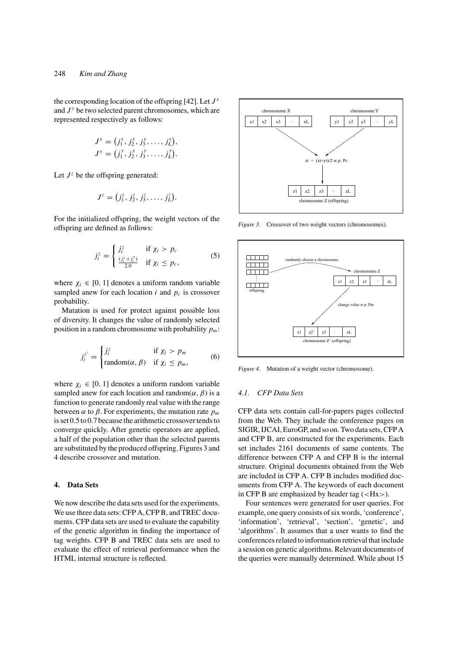the corresponding location of the offspring [42]. Let  $J^x$ and  $J<sup>y</sup>$  be two selected parent chromosomes, which are represented respectively as follows:

$$
J^x = (j_1^x, j_2^x, j_3^x, \dots, j_L^x),
$$
  

$$
J^y = (j_1^y, j_2^y, j_3^y, \dots, j_L^y).
$$

Let  $J^z$  be the offspring generated:

$$
J^{z} = (j_1^{z}, j_2^{z}, j_3^{z}, \ldots, j_L^{z}).
$$

For the initialized offspring, the weight vectors of the offspring are defined as follows:

$$
j_i^z = \begin{cases} j_i^z & \text{if } \chi_i > p_c \\ \frac{(j_i^x + j_i^y)}{2.0} & \text{if } \chi_i \le p_c, \end{cases}
$$
 (5)

where  $\chi_i \in [0, 1]$  denotes a uniform random variable sampled anew for each location  $i$  and  $p_c$  is crossover probability.

Mutation is used for protect against possible loss of diversity. It changes the value of randomly selected position in a random chromosome with probability *pm*:

$$
j_i^{z'} = \begin{cases} j_i^z & \text{if } \chi_i > p_m \\ \text{random}(\alpha, \beta) & \text{if } \chi_i \le p_m, \end{cases}
$$
 (6)

where  $\chi_i \in [0, 1]$  denotes a uniform random variable sampled anew for each location and random( $\alpha$ ,  $\beta$ ) is a function to generate randomly real value with the range between  $\alpha$  to  $\beta$ . For experiments, the mutation rate  $p_m$ is set 0.5 to 0.7 because the arithmetic crossover tends to converge quickly. After genetic operators are applied, a half of the population other than the selected parents are substituted by the produced offspring. Figures 3 and 4 describe crossover and mutation.

## **4. Data Sets**

We now describe the data sets used for the experiments. We use three data sets: CFP A, CFP B, and TREC documents. CFP data sets are used to evaluate the capability of the genetic algorithm in finding the importance of tag weights. CFP B and TREC data sets are used to evaluate the effect of retrieval performance when the HTML internal structure is reflected.



*Figure 3*. Crossover of two weight vectors (chromosomes).



*Figure 4*. Mutation of a weight vector (chromosome).

#### *4.1. CFP Data Sets*

CFP data sets contain call-for-papers pages collected from the Web. They include the conference pages on SIGIR, IJCAI, EuroGP, and so on. Two data sets, CFP A and CFP B, are constructed for the experiments. Each set includes 2161 documents of same contents. The difference between CFP A and CFP B is the internal structure. Original documents obtained from the Web are included in CFP A. CFP B includes modified documents from CFP A. The keywords of each document in CFP B are emphasized by header tag  $(<\text{Hx}>)$ .

Four sentences were generated for user queries. For example, one query consists of six words,'conference', 'information', 'retrieval', 'section', 'genetic', and 'algorithms'. It assumes that a user wants to find the conferences related to information retrieval that include a session on genetic algorithms. Relevant documents of the queries were manually determined. While about 15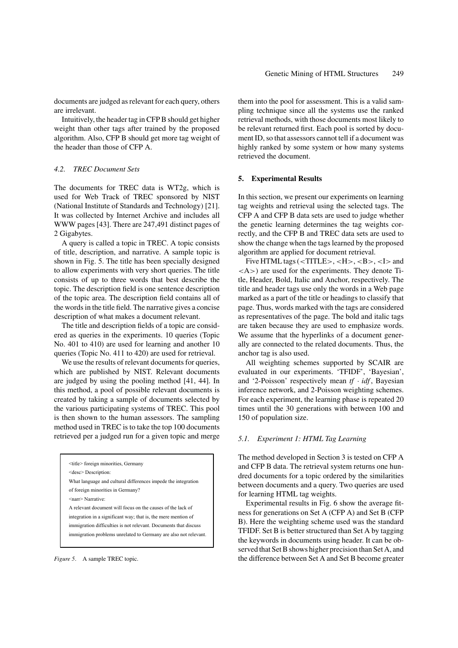documents are judged as relevant for each query, others are irrelevant.

Intuitively, the header tag in CFP B should get higher weight than other tags after trained by the proposed algorithm. Also, CFP B should get more tag weight of the header than those of CFP A.

### *4.2. TREC Document Sets*

The documents for TREC data is WT2g, which is used for Web Track of TREC sponsored by NIST (National Institute of Standards and Technology) [21]. It was collected by Internet Archive and includes all WWW pages [43]. There are 247,491 distinct pages of 2 Gigabytes.

A query is called a topic in TREC. A topic consists of title, description, and narrative. A sample topic is shown in Fig. 5. The title has been specially designed to allow experiments with very short queries. The title consists of up to three words that best describe the topic. The description field is one sentence description of the topic area. The description field contains all of the words in the title field. The narrative gives a concise description of what makes a document relevant.

The title and description fields of a topic are considered as queries in the experiments. 10 queries (Topic No. 401 to 410) are used for learning and another 10 queries (Topic No. 411 to 420) are used for retrieval.

We use the results of relevant documents for queries, which are published by NIST. Relevant documents are judged by using the pooling method [41, 44]. In this method, a pool of possible relevant documents is created by taking a sample of documents selected by the various participating systems of TREC. This pool is then shown to the human assessors. The sampling method used in TREC is to take the top 100 documents retrieved per a judged run for a given topic and merge

<title> foreign minorities, Germany What language and cultural differences impede the integration of foreign minorities in Germany? <narr> Narrative: A relevant document will focus on the causes of the lack of <desc> Description:

integration in a significant way; that is, the mere mention of immigration difficulties is not relevant. Documents that discuss immigration problems unrelated to Germany are also not relevant.

*Figure 5*. A sample TREC topic.

them into the pool for assessment. This is a valid sampling technique since all the systems use the ranked retrieval methods, with those documents most likely to be relevant returned first. Each pool is sorted by document ID, so that assessors cannot tell if a document was highly ranked by some system or how many systems retrieved the document.

#### **5. Experimental Results**

In this section, we present our experiments on learning tag weights and retrieval using the selected tags. The CFP A and CFP B data sets are used to judge whether the genetic learning determines the tag weights correctly, and the CFP B and TREC data sets are used to show the change when the tags learned by the proposed algorithm are applied for document retrieval.

Five HTML tags ( $\langle$ TITLE $>$ ,  $\langle$ H $>$ ,  $\langle$ B $>$ ,  $\langle$ I $>$  and <A>) are used for the experiments. They denote Title, Header, Bold, Italic and Anchor, respectively. The title and header tags use only the words in a Web page marked as a part of the title or headings to classify that page. Thus, words marked with the tags are considered as representatives of the page. The bold and italic tags are taken because they are used to emphasize words. We assume that the hyperlinks of a document generally are connected to the related documents. Thus, the anchor tag is also used.

All weighting schemes supported by SCAIR are evaluated in our experiments. 'TFIDF', 'Bayesian', and '2-Poisson' respectively mean *tf* · *idf* , Bayesian inference network, and 2-Poisson weighting schemes. For each experiment, the learning phase is repeated 20 times until the 30 generations with between 100 and 150 of population size.

#### *5.1. Experiment 1: HTML Tag Learning*

The method developed in Section 3 is tested on CFP A and CFP B data. The retrieval system returns one hundred documents for a topic ordered by the similarities between documents and a query. Two queries are used for learning HTML tag weights.

Experimental results in Fig. 6 show the average fitness for generations on Set A (CFP A) and Set B (CFP B). Here the weighting scheme used was the standard TFIDF. Set B is better structured than Set A by tagging the keywords in documents using header. It can be observed that Set B shows higher precision than Set A, and the difference between Set A and Set B become greater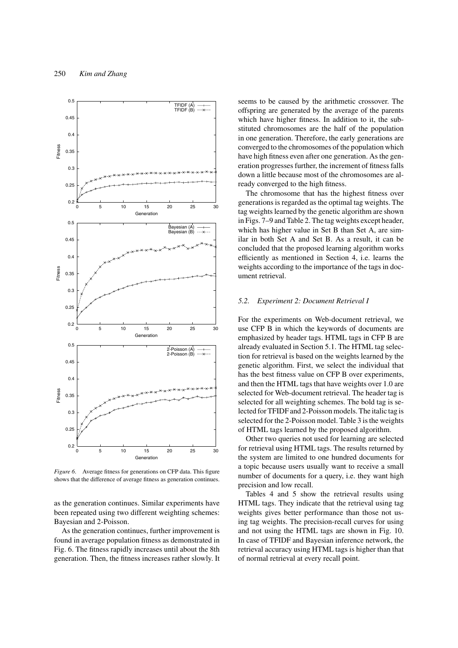

*Figure 6*. Average fitness for generations on CFP data. This figure shows that the difference of average fitness as generation continues.

as the generation continues. Similar experiments have been repeated using two different weighting schemes: Bayesian and 2-Poisson.

As the generation continues, further improvement is found in average population fitness as demonstrated in Fig. 6. The fitness rapidly increases until about the 8th generation. Then, the fitness increases rather slowly. It

seems to be caused by the arithmetic crossover. The offspring are generated by the average of the parents which have higher fitness. In addition to it, the substituted chromosomes are the half of the population in one generation. Therefore, the early generations are converged to the chromosomes of the population which have high fitness even after one generation. As the generation progresses further, the increment of fitness falls down a little because most of the chromosomes are already converged to the high fitness.

The chromosome that has the highest fitness over generations is regarded as the optimal tag weights. The tag weights learned by the genetic algorithm are shown in Figs. 7–9 and Table 2. The tag weights except header, which has higher value in Set B than Set A, are similar in both Set A and Set B. As a result, it can be concluded that the proposed learning algorithm works efficiently as mentioned in Section 4, i.e. learns the weights according to the importance of the tags in document retrieval.

#### *5.2. Experiment 2: Document Retrieval I*

For the experiments on Web-document retrieval, we use CFP B in which the keywords of documents are emphasized by header tags. HTML tags in CFP B are already evaluated in Section 5.1. The HTML tag selection for retrieval is based on the weights learned by the genetic algorithm. First, we select the individual that has the best fitness value on CFP B over experiments, and then the HTML tags that have weights over 1.0 are selected for Web-document retrieval. The header tag is selected for all weighting schemes. The bold tag is selected for TFIDF and 2-Poisson models. The italic tag is selected for the 2-Poisson model. Table 3 is the weights of HTML tags learned by the proposed algorithm.

Other two queries not used for learning are selected for retrieval using HTML tags. The results returned by the system are limited to one hundred documents for a topic because users usually want to receive a small number of documents for a query, i.e. they want high precision and low recall.

Tables 4 and 5 show the retrieval results using HTML tags. They indicate that the retrieval using tag weights gives better performance than those not using tag weights. The precision-recall curves for using and not using the HTML tags are shown in Fig. 10. In case of TFIDF and Bayesian inference network, the retrieval accuracy using HTML tags is higher than that of normal retrieval at every recall point.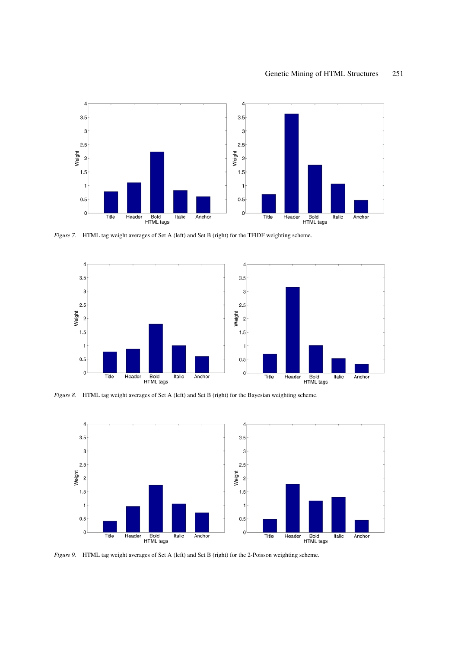

*Figure 7*. HTML tag weight averages of Set A (left) and Set B (right) for the TFIDF weighting scheme.



*Figure 8*. HTML tag weight averages of Set A (left) and Set B (right) for the Bayesian weighting scheme.



*Figure 9*. HTML tag weight averages of Set A (left) and Set B (right) for the 2-Poisson weighting scheme.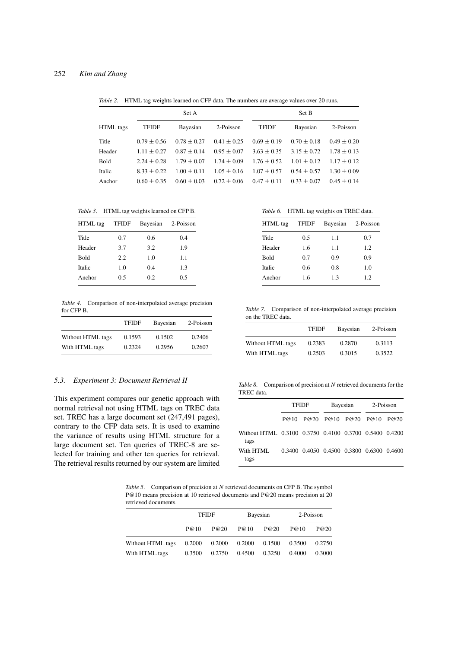*Table 2*. HTML tag weights learned on CFP data. The numbers are average values over 20 runs.

|                  | Set A           |                 |                 | Set B           |                 |                 |  |
|------------------|-----------------|-----------------|-----------------|-----------------|-----------------|-----------------|--|
| <b>HTML</b> tags | <b>TFIDF</b>    | Bayesian        | 2-Poisson       | <b>TFIDF</b>    | Bayesian        | 2-Poisson       |  |
| Title            | $0.79 \pm 0.56$ | $0.78 \pm 0.27$ | $0.41 \pm 0.25$ | $0.69 \pm 0.19$ | $0.70 \pm 0.18$ | $0.49 \pm 0.20$ |  |
| Header           | $1.11 \pm 0.27$ | $0.87 \pm 0.14$ | $0.95 \pm 0.07$ | $3.63 \pm 0.35$ | $3.15 \pm 0.72$ | $1.78 \pm 0.13$ |  |
| <b>Bold</b>      | $2.24 \pm 0.28$ | $1.79 \pm 0.07$ | $1.74 \pm 0.09$ | $1.76 \pm 0.52$ | $1.01 \pm 0.12$ | $1.17 \pm 0.12$ |  |
| Italic           | $8.33 \pm 0.22$ | $1.00 \pm 0.11$ | $1.05 \pm 0.16$ | $1.07 \pm 0.57$ | $0.54 \pm 0.57$ | $1.30 \pm 0.09$ |  |
| Anchor           | $0.60 \pm 0.35$ | $0.60 \pm 0.03$ | $0.72 \pm 0.06$ | $0.47 \pm 0.11$ | $0.33 \pm 0.07$ | $0.45 \pm 0.14$ |  |

*Table 3*. HTML tag weights learned on CFP B.

| HTML tag    | <b>TFIDF</b> | Bayesian | 2-Poisson |  |
|-------------|--------------|----------|-----------|--|
| Title       | 0.7          | 0.6      | 0.4       |  |
| Header      | 3.7          | 3.2      | 1.9       |  |
| <b>Bold</b> | 2.2          | 1.0      | 1.1       |  |
| Italic      | 1.0          | 0.4      | 1.3       |  |
| Anchor      | 0.5          | 0.2      | 0.5       |  |

*Table 4*. Comparison of non-interpolated average precision for CFP B.

|                   | <b>TFIDF</b> | Bayesian | 2-Poisson |
|-------------------|--------------|----------|-----------|
| Without HTML tags | 0.1593       | 0.1502   | 0.2406    |
| With HTML tags    | 0.2324       | 0.2956   | 0.2607    |

### *5.3. Experiment 3: Document Retrieval II*

This experiment compares our genetic approach with normal retrieval not using HTML tags on TREC data set. TREC has a large document set (247,491 pages), contrary to the CFP data sets. It is used to examine the variance of results using HTML structure for a large document set. Ten queries of TREC-8 are selected for training and other ten queries for retrieval. The retrieval results returned by our system are limited

*Table 6*. HTML tag weights on TREC data.

| HTML tag    | <b>TFIDF</b> | Bayesian | 2-Poisson |  |
|-------------|--------------|----------|-----------|--|
| Title       | 0.5          | 1.1      | 0.7       |  |
| Header      | 1.6          | 1.1      | 1.2.      |  |
| <b>Bold</b> | 0.7          | 0.9      | 0.9       |  |
| Italic      | 0.6          | 0.8      | 1.0       |  |
| Anchor      | 1.6          | 13       | 12        |  |

*Table 7*. Comparison of non-interpolated average precision on the TREC data.

|                   | <b>TFIDF</b> | Bayesian | 2-Poisson |
|-------------------|--------------|----------|-----------|
| Without HTML tags | 0.2383       | 0.2870   | 0.3113    |
| With HTML tags    | 0.2503       | 0.3015   | 0.3522    |

*Table 8*. Comparison of precision at *N* retrieved documents for the TREC data.

|                                                                | TFIDF |  | Bayesian                                  | 2-Poisson |  |
|----------------------------------------------------------------|-------|--|-------------------------------------------|-----------|--|
|                                                                |       |  | P@10 P@20 P@10 P@20 P@10 P@20             |           |  |
| Without HTML 0.3100 0.3750 0.4100 0.3700 0.5400 0.4200<br>tags |       |  |                                           |           |  |
| With HTML.<br>tags                                             |       |  | 0.3400 0.4050 0.4500 0.3800 0.6300 0.4600 |           |  |

*Table 5*. Comparison of precision at *N* retrieved documents on CFP B. The symbol P@10 means precision at 10 retrieved documents and P@20 means precision at 20 retrieved documents.

|                   |        | <b>TFIDF</b> |        | Bayesian |        | 2-Poisson |  |
|-------------------|--------|--------------|--------|----------|--------|-----------|--|
|                   | P@10   | P@20         | P@10   | P@20     | P@10   | P@20      |  |
| Without HTML tags | 0.2000 | 0.2000       | 0.2000 | 0.1500   | 0.3500 | 0.2750    |  |
| With HTML tags    | 0.3500 | 0.2750       | 0.4500 | 0.3250   | 0.4000 | 0.3000    |  |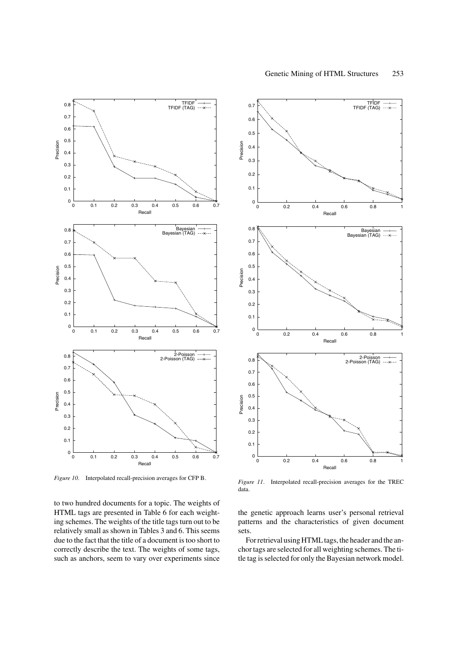

*Figure 10*. Interpolated recall-precision averages for CFP B.

to two hundred documents for a topic. The weights of HTML tags are presented in Table 6 for each weighting schemes. The weights of the title tags turn out to be relatively small as shown in Tables 3 and 6. This seems due to the fact that the title of a document is too short to correctly describe the text. The weights of some tags, such as anchors, seem to vary over experiments since



*Figure 11*. Interpolated recall-precision averages for the TREC data.

the genetic approach learns user's personal retrieval patterns and the characteristics of given document sets.

For retrieval using HTML tags, the header and the anchor tags are selected for all weighting schemes. The title tag is selected for only the Bayesian network model.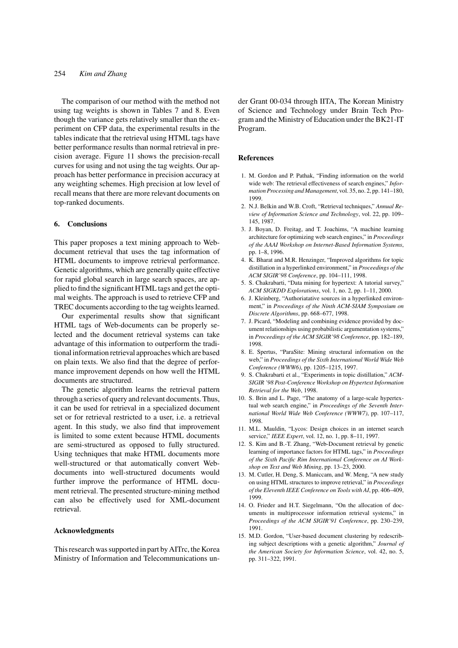### 254 *Kim and Zhang*

The comparison of our method with the method not using tag weights is shown in Tables 7 and 8. Even though the variance gets relatively smaller than the experiment on CFP data, the experimental results in the tables indicate that the retrieval using HTML tags have better performance results than normal retrieval in precision average. Figure 11 shows the precision-recall curves for using and not using the tag weights. Our approach has better performance in precision accuracy at any weighting schemes. High precision at low level of recall means that there are more relevant documents on top-ranked documents.

### **6. Conclusions**

This paper proposes a text mining approach to Webdocument retrieval that uses the tag information of HTML documents to improve retrieval performance. Genetic algorithms, which are generally quite effective for rapid global search in large search spaces, are applied to find the significant HTML tags and get the optimal weights. The approach is used to retrieve CFP and TREC documents according to the tag weights learned.

Our experimental results show that significant HTML tags of Web-documents can be properly selected and the document retrieval systems can take advantage of this information to outperform the traditional information retrieval approaches which are based on plain texts. We also find that the degree of performance improvement depends on how well the HTML documents are structured.

The genetic algorithm learns the retrieval pattern through a series of query and relevant documents. Thus, it can be used for retrieval in a specialized document set or for retrieval restricted to a user, i.e. a retrieval agent. In this study, we also find that improvement is limited to some extent because HTML documents are semi-structured as opposed to fully structured. Using techniques that make HTML documents more well-structured or that automatically convert Webdocuments into well-structured documents would further improve the performance of HTML document retrieval. The presented structure-mining method can also be effectively used for XML-document retrieval.

#### **Acknowledgments**

This research was supported in part by AITrc, the Korea Ministry of Information and Telecommunications under Grant 00-034 through IITA, The Korean Ministry of Science and Technology under Brain Tech Program and the Ministry of Education under the BK21-IT Program.

### **References**

- 1. M. Gordon and P. Pathak, "Finding information on the world wide web: The retrieval effectiveness of search engines," *Information Processing and Management*, vol. 35, no. 2, pp. 141–180, 1999.
- 2. N.J. Belkin and W.B. Croft, "Retrieval techniques," *Annual Review of Information Science and Technology*, vol. 22, pp. 109– 145, 1987.
- 3. J. Boyan, D. Freitag, and T. Joachims, "A machine learning architecture for optimizing web search engines," in *Proceedings of the AAAI Workshop on Internet-Based Information Systems*, pp. 1–8, 1996.
- 4. K. Bharat and M.R. Henzinger, "Improved algorithms for topic distillation in a hyperlinked environment," in *Proceedings of the ACM SIGIR'98 Conference*, pp. 104–111, 1998.
- 5. S. Chakrabarti, "Data mining for hypertext: A tutorial survey," *ACM SIGKDD Explorations*, vol. 1, no. 2, pp. 1–11, 2000.
- 6. J. Kleinberg, "Authoriatative sources in a hyperlinked environment," in *Proceedings of the Ninth ACM-SIAM Symposium on Discrete Algorithms*, pp. 668–677, 1998.
- 7. J. Picard, "Modeling and combining evidence provided by document relationships using probabilistic argumentation systems," in *Proceedings of the ACM SIGIR'98 Conference*, pp. 182–189, 1998.
- 8. E. Spertus, "ParaSite: Mining structural information on the web," in *Proceedings of the Sixth International World Wide Web Conference (WWW6)*, pp. 1205–1215, 1997.
- 9. S. Chakrabarti et al., "Experiments in topic distillation," *ACM-SIGIR '98 Post-Conference Workshop on Hypertext Information Retrieval for the Web*, 1998.
- 10. S. Brin and L. Page, "The anatomy of a large-scale hypertextual web search engine," in *Proceedings of the Seventh International World Wide Web Conference (WWW7)*, pp. 107–117, 1998.
- 11. M.L. Mauldin, "Lycos: Design choices in an internet search service," *IEEE Expert*, vol. 12, no. 1, pp. 8–11, 1997.
- 12. S. Kim and B.-T. Zhang, "Web-Document retrieval by genetic learning of importance factors for HTML tags," in *Proceedings of the Sixth Pacific Rim International Conference on AI Workshop on Text and Web Mining*, pp. 13–23, 2000.
- 13. M. Cutler, H. Deng, S. Maniccam, and W. Meng, "A new study on using HTML structures to improve retrieval," in *Proceedings of the Eleventh IEEE Conference on Tools with AI*, pp. 406–409, 1999.
- 14. O. Frieder and H.T. Siegelmann, "On the allocation of documents in multiprocessor information retrieval systems," in *Proceedings of the ACM SIGIR'91 Conference*, pp. 230–239, 1991.
- 15. M.D. Gordon, "User-based document clustering by redescribing subject descriptions with a genetic algorithm," *Journal of the American Society for Information Science*, vol. 42, no. 5, pp. 311–322, 1991.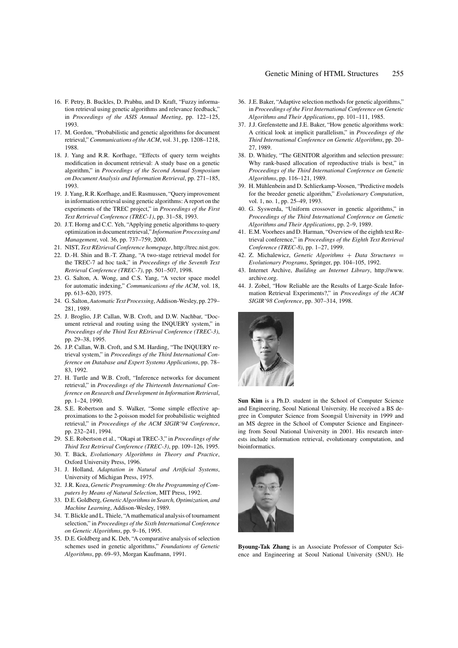- 16. F. Petry, B. Buckles, D. Prabhu, and D. Kraft, "Fuzzy information retrieval using genetic algorithms and relevance feedback," in *Proceedings of the ASIS Annual Meeting*, pp. 122–125, 1993.
- 17. M. Gordon, "Probabilistic and genetic algorithms for document retrieval," *Communications of the ACM*, vol. 31, pp. 1208–1218, 1988.
- 18. J. Yang and R.R. Korfhage, "Effects of query term weights modification in document retrieval: A study base on a genetic algorithm," in *Proceedings of the Second Annual Symposium on Document Analysis and Information Retrieval*, pp. 271–185, 1993.
- 19. J. Yang, R.R. Korfhage, and E. Rasmussen, "Query improvement in information retrieval using genetic algorithms: A report on the experiments of the TREC project," in *Proceedings of the First Text Retrieval Conference (TREC-1)*, pp. 31–58, 1993.
- 20. J.T. Horng and C.C. Yeh, "Applying genetic algorithms to query optimization in document retrieval," *Information Processing and Management*, vol. 36, pp. 737–759, 2000.
- 21. NIST, *Text REtrieval Conference homepage*, http://trec.nist.gov.
- 22. D.-H. Shin and B.-T. Zhang, "A two-stage retrieval model for the TREC-7 ad hoc task," in *Proceedings of the Seventh Text Retrieval Conference (TREC-7)*, pp. 501–507, 1998.
- 23. G. Salton, A. Wong, and C.S. Yang, "A vector space model for automatic indexing," *Communications of the ACM*, vol. 18, pp. 613–620, 1975.
- 24. G. Salton,*Automatic Text Processing*, Addison-Wesley, pp. 279– 281, 1989.
- 25. J. Broglio, J.P. Callan, W.B. Croft, and D.W. Nachbar, "Document retrieval and routing using the INQUERY system," in *Proceedings of the Third Text REtrieval Conference (TREC-3)*, pp. 29–38, 1995.
- 26. J.P. Callan, W.B. Croft, and S.M. Harding, "The INQUERY retrieval system," in *Proceedings of the Third International Conference on Database and Expert Systems Applications*, pp. 78– 83, 1992.
- 27. H. Turtle and W.B. Croft, "Inference networks for document retrieval," in *Proceedings of the Thirteenth International Conference on Research and Development in Information Retrieval*, pp. 1–24, 1990.
- 28. S.E. Robertson and S. Walker, "Some simple effective approximations to the 2-poisson model for probabilistic weighted retrieval," in *Proceedings of the ACM SIGIR'94 Conference*, pp. 232–241, 1994.
- 29. S.E. Robertson et al., "Okapi at TREC-3," in *Proceedings of the Third Text Retrieval Conference (TREC-3)*, pp. 109–126, 1995.
- 30. T. Bäck, Evolutionary Algorithms in Theory and Practice, Oxford University Press, 1996.
- 31. J. Holland, *Adaptation in Natural and Artificial Systems*, University of Michigan Press, 1975.
- 32. J.R. Koza, *Genetic Programming: On the Programming of Computers by Means of Natural Selection*, MIT Press, 1992.
- 33. D.E. Goldberg, *Genetic Algorithms in Search, Optimization, and Machine Learning*, Addison-Wesley, 1989.
- 34. T. Blickle and L. Thiele, "A mathematical analysis of tournament selection," in *Proceedings of the Sixth International Conference on Genetic Algorithms*, pp. 9–16, 1995.
- 35. D.E. Goldberg and K. Deb, "A comparative analysis of selection schemes used in genetic algorithms," *Foundations of Genetic Algorithms*, pp. 69–93, Morgan Kaufmann, 1991.
- 36. J.E. Baker, "Adaptive selection methods for genetic algorithms," in *Proceedings of the First International Conference on Genetic Algorithms and Their Applications*, pp. 101–111, 1985.
- 37. J.J. Grefenstette and J.E. Baker, "How genetic algorithms work: A critical look at implicit parallelism," in *Proceedings of the Third International Conference on Genetic Algorithms*, pp. 20– 27, 1989.
- 38. D. Whitley, "The GENITOR algorithm and selection pressure: Why rank-based allocation of reproductive trials is best," in *Proceedings of the Third International Conference on Genetic Algorithms*, pp. 116–121, 1989.
- 39. H. Mühlenbein and D. Schlierkamp-Voosen, "Predictive models for the breeder genetic algorithm," *Evolutionary Computation*, vol. 1, no. 1, pp. 25–49, 1993.
- 40. G. Syswerda, "Uniform crossover in genetic algorithms," in *Proceedings of the Third International Conference on Genetic Algorithms and Their Applications*, pp. 2–9, 1989.
- 41. E.M. Voorhees and D. Harman, "Overview of the eighth text Retrieval conference," in *Proceedings of the Eighth Text Retrieval Conference (TREC-8)*, pp. 1–27, 1999.
- 42. Z. Michalewicz, *Genetic Algorithms* + *Data Structures* = *Evolutionary Programs*, Springer, pp. 104–105, 1992.
- 43. Internet Archive, *Building an Internet Library*, http://www. archive.org.
- 44. J. Zobel, "How Reliable are the Results of Large-Scale Information Retrieval Experiments?," in *Proceedings of the ACM SIGIR'98 Conference*, pp. 307–314, 1998.



**Sun Kim** is a Ph.D. student in the School of Computer Science and Engineering, Seoul National University. He received a BS degree in Computer Science from Soongsil University in 1999 and an MS degree in the School of Computer Science and Engineering from Seoul National University in 2001. His research interests include information retrieval, evolutionary computation, and bioinformatics.



**Byoung-Tak Zhang** is an Associate Professor of Computer Science and Engineering at Seoul National University (SNU). He